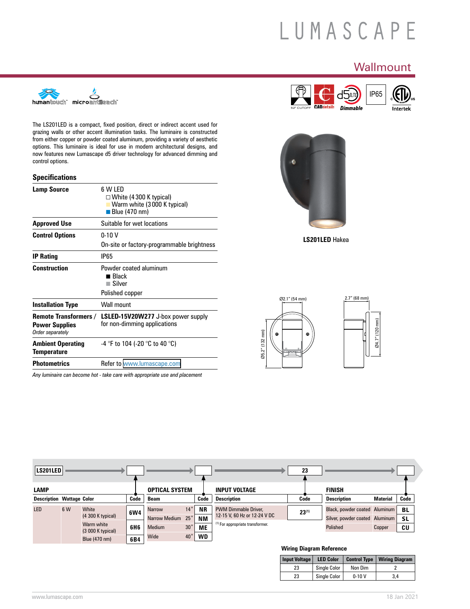# LUMASCAPE

# **Wallmount**





**LS201LED** Hakea





| LS201LED    |                                          |                                  |     |                         |                                 |                        |                                                             | 23         |                                            |          |                 |
|-------------|------------------------------------------|----------------------------------|-----|-------------------------|---------------------------------|------------------------|-------------------------------------------------------------|------------|--------------------------------------------|----------|-----------------|
| <b>LAMP</b> |                                          |                                  |     | <b>OPTICAL SYSTEM</b>   |                                 |                        | <b>INPUT VOLTAGE</b>                                        |            | <b>FINISH</b>                              |          |                 |
|             | Code<br><b>Description Wattage Color</b> |                                  |     | Beam                    |                                 | Code                   | <b>Description</b>                                          | Code       | <b>Description</b>                         | Material | Code            |
| LED         | 6 W                                      | White<br>$(4300 K$ typical)      | 6W4 | <b>Narrow</b>           | $14^{\circ}$                    | <b>NR</b>              | <b>PWM Dimmable Driver,</b><br>12-15 V, 60 Hz or 12-24 V DC | $23^{(1)}$ | Black, powder coated Aluminum              |          | BL              |
|             |                                          | Warm white<br>$(3000 K$ typical) | 6H6 | Narrow Medium<br>Medium | $25^{\circ}$<br>30 <sup>°</sup> | <b>NM</b><br><b>ME</b> | (1) For appropriate transformer.                            |            | Silver, powder coated Aluminum<br>Polished | Copper   | <b>SL</b><br>CU |
|             |                                          | Blue (470 nm)                    | 6B4 | Wide                    | $40^{\circ}$                    | <b>WD</b>              |                                                             |            |                                            |          |                 |

#### **Wiring Diagram Reference**

| <b>Input Voltage</b> | <b>LED Color</b>    | <b>Control Type</b> | Wiring Diagram |
|----------------------|---------------------|---------------------|----------------|
| 23                   | Single Color        | Non Dim             |                |
| 23                   | <b>Single Color</b> | $0-10V$             | 3.4            |



The LS201LED is a compact, fixed position, direct or indirect accent used for grazing walls or other accent illumination tasks. The luminaire is constructed from either copper or powder coated aluminum, providing a variety of aesthetic options. This luminaire is ideal for use in modern architectural designs, and now features new Lumascape d5 driver technology for advanced dimming and control options.

#### **Specifications**

| <b>Lamp Source</b>                                                        | 6 W LED<br>$\Box$ White (4 300 K typical)<br>Warm white (3000 K typical)<br>$\blacksquare$ Blue (470 nm) |
|---------------------------------------------------------------------------|----------------------------------------------------------------------------------------------------------|
| <b>Approved Use</b>                                                       | Suitable for wet locations                                                                               |
| <b>Control Options</b>                                                    | $0-10V$<br>On-site or factory-programmable brightness                                                    |
| <b>IP Rating</b>                                                          | <b>IP65</b>                                                                                              |
| <b>Construction</b>                                                       | Powder coated aluminum<br>∎ Black<br>Silver<br>Polished copper                                           |
| <b>Installation Type</b>                                                  | Wall mount                                                                                               |
| <b>Remote Transformers /</b><br><b>Power Supplies</b><br>Order separately | <b>LSLED-15V20W277</b> J-box power supply<br>for non-dimming applications                                |
| <b>Ambient Operating</b><br><b>Temperature</b>                            | -4 $\degree$ F to 104 (-20 $\degree$ C to 40 $\degree$ C)                                                |
| <b>Photometrics</b>                                                       | Refer to www.lumascape.com                                                                               |
|                                                                           | Any luminaire can become hot - take care with appropriate use and placement                              |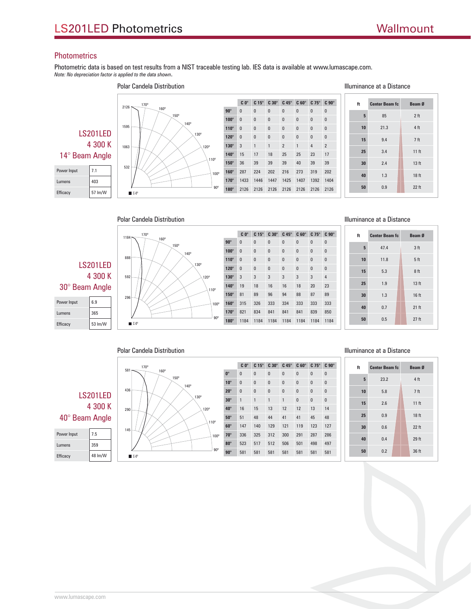# **Photometrics**

Power Input 6.9

Photometric data is based on test results from a NIST traceable testing lab. IES data is available at www.lumascape.com. *Note: No depreciation factor is applied to the data shown*.



Polar Candela Distribution



|             | $C_0^\circ$  | $C 15^\circ$ | $C30^\circ$ | $C$ 45 $^{\circ}$ | $C 60^\circ$ | $C$ 75 $^{\circ}$ | $C90^\circ$  |
|-------------|--------------|--------------|-------------|-------------------|--------------|-------------------|--------------|
| $90^\circ$  | $\bf{0}$     | $\bf{0}$     | 0           | 0                 | 0            | 0                 | 0            |
| $100^\circ$ | $\bf{0}$     | $\bf{0}$     | 0           | 0                 | 0            | 0                 | 0            |
| $110^\circ$ | $\bf{0}$     | $\bf{0}$     | 0           | 0                 | 0            | 0                 | $\mathbf{0}$ |
| $120^\circ$ | $\mathbf{0}$ | $\bf{0}$     | 0           | $\bf{0}$          | 0            | 0                 | 0            |
| $130^\circ$ | 3            | 3            | 3           | 3                 | 3            | 3                 | 4            |
| $140^\circ$ | 19           | 18           | 16          | 16                | 18           | 20                | 23           |
| $150^\circ$ | 81           | 89           | 96          | 94                | 88           | 87                | 89           |
| $160^\circ$ | 315          | 326          | 333         | 334               | 333          | 333               | 333          |
| $170^\circ$ | 821          | 834          | 841         | 841               | 841          | 839               | 850          |
| $180^\circ$ | 1184         | 1184         | 1184        | 1184              | 1184         | 1184              | 1184         |
|             |              |              |             |                   |              |                   |              |

|  |  | Illuminance at a Distance |
|--|--|---------------------------|
|  |  |                           |

| ft | <b>Center Beam fc</b> | Beam Ø          |
|----|-----------------------|-----------------|
| 5  | 47.4                  | 3 <sub>ft</sub> |
| 10 | 11.8                  | 5 <sub>ft</sub> |
| 15 | 5.3                   | 8ft             |
| 25 | 1.9                   | 13 ft           |
| 30 | 1.3                   | 16 ft           |
| 40 | 0.7                   | 21 ft           |
| 50 | 0.5                   | $27$ ft         |

# Polar Candela Distribution

#### Illuminance at a Distance

|                 |         | 581                | 170°       | 160° |      |            |                          | $C_0^\circ$  | $C 15^\circ$ | $C30^\circ$  | $C$ 45 $^{\circ}$ | $C 60^\circ$ | $C75^\circ$  | $C 90^\circ$ | ft  | <b>Center Beam fc</b> | Beam Ø          |
|-----------------|---------|--------------------|------------|------|------|------------|--------------------------|--------------|--------------|--------------|-------------------|--------------|--------------|--------------|-----|-----------------------|-----------------|
|                 |         |                    |            |      | 150° |            | $0^\circ$                | $\mathbf{0}$ | $\mathbf{0}$ | $\mathbf{0}$ | $\mathbf{0}$      | $\mathbf{0}$ | $\mathbf{0}$ | $\mathbf{0}$ |     |                       |                 |
|                 |         |                    |            |      |      | 140°       | $10^{\circ}$             | $\mathbf{0}$ | $\mathbf{0}$ | $\mathbf{0}$ | $\mathbf{0}$      | $\mathbf{0}$ | $\mathbf{0}$ | $\mathbf{0}$ | 5   | 23.2                  | 4ft             |
|                 |         | 436                |            |      |      |            | $20^\circ$               | $\mathbf{0}$ | $\mathbf{0}$ | $\mathbf{0}$ | $\mathbf{0}$      | $\mathbf{0}$ | $\mathbf{0}$ | $\mathbf{0}$ | 10  | 5.8                   | 7 <sub>ft</sub> |
| <b>LS201LED</b> |         | $130^\circ$        |            |      |      | $30^\circ$ |                          |              |              |              | $\mathbf{0}$      | $\mathbf{0}$ | $\mathbf{0}$ | 15           | 2.6 | 11 ft                 |                 |
|                 | 4 300 K | 290                |            |      |      | 120°       | $40^\circ$               | 16           | 15           | 13           | 12                | 12           | 13           | 14           |     |                       |                 |
| 40° Beam Angle  |         | 110°               | $50^\circ$ | 51   | 48   | 44         | 41                       | 41           | 45           | 48           | 25                | 0.9          | 18 ft        |              |     |                       |                 |
|                 |         | 145                |            |      |      |            | $60^\circ$               | 147          | 140          | 129          | 121               | 119          | 123          | 127          | 30  | 0.6                   | 22 ft           |
| Power Input     | 7.5     |                    |            |      |      |            | $70^\circ$<br>100°       | 336          | 325          | 312          | 300               | 291          | 287          | 286          |     | 0.4                   | 29ft            |
| Lumens          | 359     |                    |            |      |      |            | $80^\circ$               | 523          | 517          | 512          | 506               | 501          | 498          | 497          | 40  |                       |                 |
|                 |         |                    |            |      |      |            | $90^\circ$<br>$90^\circ$ | 581          | 581          | 581          | 581               | 581          | 581          | 581          | 50  | 0.2                   | 36 ft           |
| Efficacy        | 48 lm/W | $C-0$ <sup>o</sup> |            |      |      |            |                          |              |              |              |                   |              |              |              |     |                       |                 |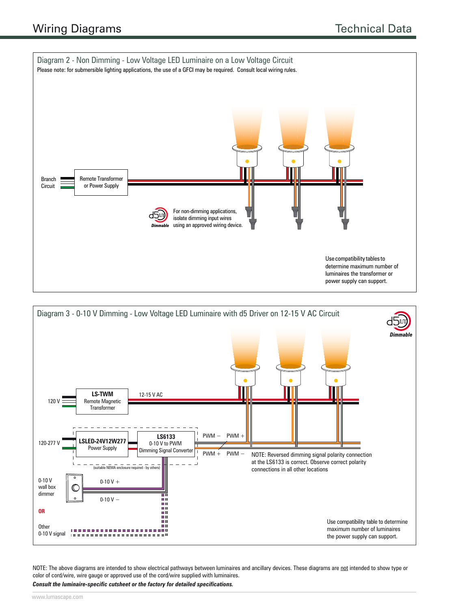



NOTE: The above diagrams are intended to show electrical pathways between luminaires and ancillary devices. These diagrams are not intended to show type or color of cord/wire, wire gauge or approved use of the cord/wire supplied with luminaires.

*Consult the luminaire-specific cutsheet or the factory for detailed specifications.*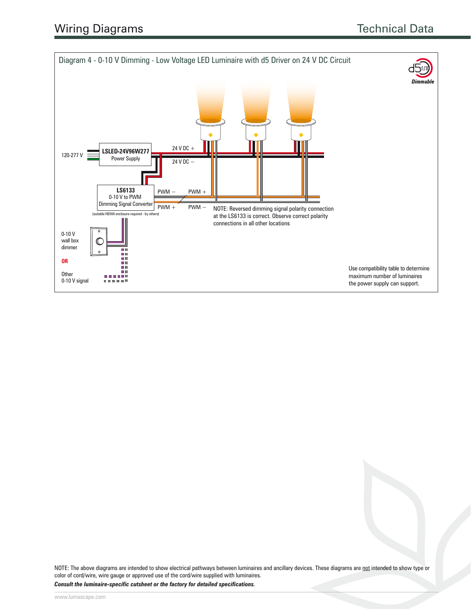

NOTE: The above diagrams are intended to show electrical pathways between luminaires and ancillary devices. These diagrams are not intended to show type or color of cord/wire, wire gauge or approved use of the cord/wire supplied with luminaires.

*Consult the luminaire-specific cutsheet or the factory for detailed specifications.*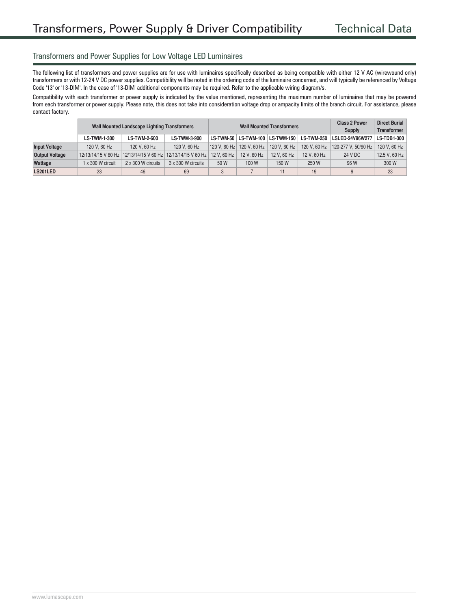#### Transformers and Power Supplies for Low Voltage LED Luminaires

The following list of transformers and power supplies are for use with luminaires specifically described as being compatible with either 12 V AC (wirewound only) transformers or with 12-24 V DC power supplies. Compatibility will be noted in the ordering code of the luminaire concerned, and will typically be referenced by Voltage Code '13' or '13-DIM'. In the case of '13-DIM' additional components may be required. Refer to the applicable wiring diagram/s.

Compatibility with each transformer or power supply is indicated by the value mentioned, representing the maximum number of luminaires that may be powered from each transformer or power supply. Please note, this does not take into consideration voltage drop or ampacity limits of the branch circuit. For assistance, please contact factory.

|                       |                     | <b>Wall Mounted Landscape Lighting Transformers</b> |                                                             |                                           | <b>Wall Mounted Transformers</b>       | <b>Class 2 Power</b><br>Supply      | <b>Direct Burial</b><br><b>Transformer</b> |                     |                    |
|-----------------------|---------------------|-----------------------------------------------------|-------------------------------------------------------------|-------------------------------------------|----------------------------------------|-------------------------------------|--------------------------------------------|---------------------|--------------------|
|                       | <b>LS-TWM-1-300</b> | <b>LS-TWM-2-600</b>                                 | <b>LS-TWM-3-900</b>                                         |                                           |                                        | LS-TWM-50   LS-TWM-100   LS-TWM-150 | <b>LS-TWM-250</b>                          | LSLED-24V96W277     | <b>LS-TDB1-300</b> |
| <b>Input Voltage</b>  | 120 V, 60 Hz        | 120 V, 60 Hz                                        | 120 V, 60 Hz                                                |                                           | 120 V, 60 Hz 120 V, 60 Hz 120 V, 60 Hz |                                     | 120 V, 60 Hz                               | 120-277 V. 50/60 Hz | 120 V, 60 Hz       |
| <b>Output Voltage</b> |                     |                                                     | 12/13/14/15 V 60 Hz 12/13/14/15 V 60 Hz 12/13/14/15 V 60 Hz | 12 V, 60 Hz<br>12 V, 60 Hz<br>12 V, 60 Hz |                                        |                                     | 12 V, 60 Hz                                | 24 V DC             | 12.5 V, 60 Hz      |
| Wattage               | x 300 W circuit     | 2 x 300 W circuits                                  | $3 \times 300$ W circuits                                   | 50 W                                      | 100 W                                  | 150 W                               | 250 W                                      | 96 W                | 300 W              |
| LS201LED              | 23                  | 46                                                  | 69                                                          |                                           |                                        | 9                                   | 23                                         |                     |                    |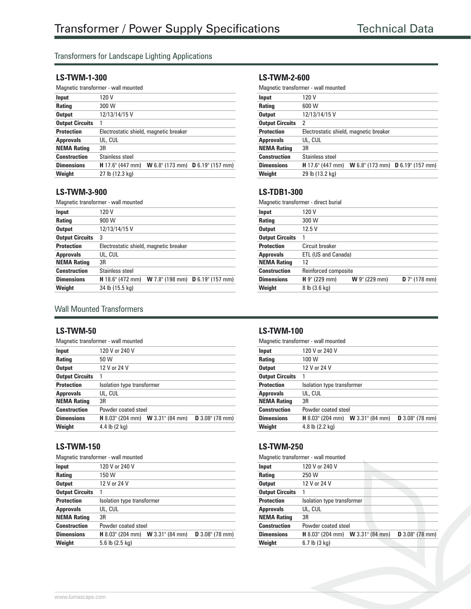## Transformers for Landscape Lighting Applications

#### **LS-TWM-1-300**

|                        | Magnetic transformer - wall mounted                                       |  |  |  |  |  |
|------------------------|---------------------------------------------------------------------------|--|--|--|--|--|
| Input                  | 120 V                                                                     |  |  |  |  |  |
| <b>Rating</b>          | 300 W                                                                     |  |  |  |  |  |
| <b>Output</b>          | 12/13/14/15 V                                                             |  |  |  |  |  |
| <b>Output Circuits</b> |                                                                           |  |  |  |  |  |
| <b>Protection</b>      | Electrostatic shield, magnetic breaker                                    |  |  |  |  |  |
| <b>Approvals</b>       | UL, CUL                                                                   |  |  |  |  |  |
| <b>NEMA Rating</b>     | 3R                                                                        |  |  |  |  |  |
| <b>Construction</b>    | Stainless steel                                                           |  |  |  |  |  |
| <b>Dimensions</b>      | <b>W</b> 6.8" (173 mm) <b>D</b> 6.19" (157 mm)<br><b>H</b> 17.6" (447 mm) |  |  |  |  |  |
| Weight                 | 27 lb (12.3 kg)                                                           |  |  |  |  |  |

#### **LS-TWM-3-900**

Magnetic transformer - wall mounted

| 120 V                                                                |
|----------------------------------------------------------------------|
| 900 W                                                                |
| 12/13/14/15 V                                                        |
| 3                                                                    |
| Electrostatic shield, magnetic breaker                               |
| UL, CUL                                                              |
| 3R                                                                   |
| Stainless steel                                                      |
| $H$ 18.6" (472 mm)<br><b>W</b> 7.8" (198 mm) <b>D</b> 6.19" (157 mm) |
| 34 lb (15.5 kg)                                                      |
|                                                                      |

# Wall Mounted Transformers

#### **LS-TWM-50**

| Magnetic transformer - wall mounted |                                                                     |  |  |  |  |  |
|-------------------------------------|---------------------------------------------------------------------|--|--|--|--|--|
| Input                               | 120 V or 240 V                                                      |  |  |  |  |  |
| <b>Rating</b>                       | 50 W                                                                |  |  |  |  |  |
| <b>Output</b>                       | 12 V or 24 V                                                        |  |  |  |  |  |
| <b>Output Circuits</b>              |                                                                     |  |  |  |  |  |
| <b>Protection</b>                   | Isolation type transformer                                          |  |  |  |  |  |
| <b>Approvals</b>                    | UL, CUL                                                             |  |  |  |  |  |
| <b>NEMA Rating</b>                  | 3R                                                                  |  |  |  |  |  |
| <b>Construction</b>                 | Powder coated steel                                                 |  |  |  |  |  |
| <b>Dimensions</b>                   | <b>H</b> 8.03" (204 mm) <b>W</b> 3.31" (84 mm)<br>$D$ 3.08" (78 mm) |  |  |  |  |  |
| Weight                              | 4.4 lb $(2 \text{ kg})$                                             |  |  |  |  |  |
|                                     |                                                                     |  |  |  |  |  |

#### **LS-TWM-150**

| Magnetic transformer - wall mounted |                                                                     |  |  |  |  |
|-------------------------------------|---------------------------------------------------------------------|--|--|--|--|
| Input                               | 120 V or 240 V                                                      |  |  |  |  |
| <b>Rating</b>                       | 150 W                                                               |  |  |  |  |
| <b>Output</b>                       | 12 V or 24 V                                                        |  |  |  |  |
| <b>Output Circuits</b>              |                                                                     |  |  |  |  |
| <b>Protection</b>                   | Isolation type transformer                                          |  |  |  |  |
| <b>Approvals</b>                    | UL, CUL                                                             |  |  |  |  |
| <b>NEMA Rating</b>                  | 3R                                                                  |  |  |  |  |
| <b>Construction</b>                 | Powder coated steel                                                 |  |  |  |  |
| <b>Dimensions</b>                   | <b>H</b> 8.03" (204 mm) <b>W</b> 3.31" (84 mm)<br>$D$ 3.08" (78 mm) |  |  |  |  |
| Weight                              | 5.6 lb (2.5 kg)                                                     |  |  |  |  |
|                                     |                                                                     |  |  |  |  |

#### **LS-TWM-2-600**

| Magnetic transformer - wall mounted |                                                                           |  |  |  |
|-------------------------------------|---------------------------------------------------------------------------|--|--|--|
| Input                               | 120 V                                                                     |  |  |  |
| <b>Rating</b>                       | 600 W                                                                     |  |  |  |
| <b>Output</b>                       | 12/13/14/15 V                                                             |  |  |  |
| <b>Output Circuits</b>              | 2                                                                         |  |  |  |
| <b>Protection</b>                   | Electrostatic shield, magnetic breaker                                    |  |  |  |
| <b>Approvals</b>                    | UL, CUL                                                                   |  |  |  |
| <b>NEMA Rating</b>                  | 3R                                                                        |  |  |  |
| <b>Construction</b>                 | Stainless steel                                                           |  |  |  |
| <b>Dimensions</b>                   | <b>W</b> 6.8" (173 mm) <b>D</b> 6.19" (157 mm)<br><b>H</b> 17.6" (447 mm) |  |  |  |
| Weight                              | 29 lb (13.2 kg)                                                           |  |  |  |

#### **LS-TDB1-300**

| Magnetic transformer - direct burial |                      |               |                  |  |
|--------------------------------------|----------------------|---------------|------------------|--|
| Input                                | 120 V                |               |                  |  |
| <b>Rating</b>                        | 300 W                |               |                  |  |
| <b>Output</b>                        | 12.5V                |               |                  |  |
| <b>Output Circuits</b>               |                      |               |                  |  |
| <b>Protection</b>                    | Circuit breaker      |               |                  |  |
| <b>Approvals</b>                     | ETL (US and Canada)  |               |                  |  |
| <b>NEMA Rating</b>                   | 12                   |               |                  |  |
| <b>Construction</b>                  | Reinforced composite |               |                  |  |
| <b>Dimensions</b>                    | H 9" (229 mm)        | W 9" (229 mm) | $D 7$ " (178 mm) |  |
| Weight                               | 8 lb (3.6 kg)        |               |                  |  |

#### **LS-TWM-100**

| Magnetic transformer - wall mounted |                                                |  |                   |  |
|-------------------------------------|------------------------------------------------|--|-------------------|--|
| Input                               | 120 V or 240 V                                 |  |                   |  |
| <b>Rating</b>                       | 100 W                                          |  |                   |  |
| <b>Output</b>                       | 12 V or 24 V                                   |  |                   |  |
| <b>Output Circuits</b>              |                                                |  |                   |  |
| <b>Protection</b>                   | Isolation type transformer                     |  |                   |  |
| <b>Approvals</b>                    | UL, CUL                                        |  |                   |  |
| <b>NEMA Rating</b>                  | 3R                                             |  |                   |  |
| <b>Construction</b>                 | Powder coated steel                            |  |                   |  |
| <b>Dimensions</b>                   | <b>H</b> 8.03" (204 mm) <b>W</b> 3.31" (84 mm) |  | $D$ 3.08" (78 mm) |  |
| Weight                              | 4.8 lb (2.2 kg)                                |  |                   |  |

#### **LS-TWM-250**

|                        | Magnetic transformer - wall mounted            |                   |
|------------------------|------------------------------------------------|-------------------|
| Input                  | 120 V or 240 V                                 |                   |
| <b>Rating</b>          | 250 W                                          |                   |
| <b>Output</b>          | 12 V or 24 V                                   |                   |
| <b>Output Circuits</b> | 1                                              |                   |
| <b>Protection</b>      | Isolation type transformer                     |                   |
| <b>Approvals</b>       | UL, CUL                                        |                   |
| <b>NEMA Rating</b>     | 3R                                             |                   |
| <b>Construction</b>    | Powder coated steel                            |                   |
| <b>Dimensions</b>      | <b>H</b> 8.03" (204 mm) <b>W</b> 3.31" (84 mm) | $D$ 3.08" (78 mm) |
| Weight                 | $6.7$ lb $(3$ kg)                              |                   |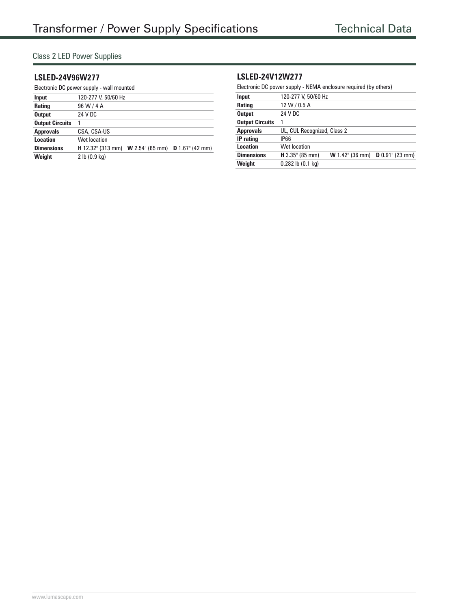## Class 2 LED Power Supplies

#### **LSLED-24V96W277**

| Electronic DC power supply - wall mounted |                          |                                               |  |  |
|-------------------------------------------|--------------------------|-----------------------------------------------|--|--|
| Input                                     | 120-277 V, 50/60 Hz      |                                               |  |  |
| Rating                                    | 96 W / 4 A               |                                               |  |  |
| <b>Output</b>                             | 24 V DC                  |                                               |  |  |
| <b>Output Circuits</b>                    |                          |                                               |  |  |
| <b>Approvals</b>                          | CSA, CSA-US              |                                               |  |  |
| Location                                  | Wet location             |                                               |  |  |
| <b>Dimensions</b>                         | <b>H</b> 12.32" (313 mm) | <b>W</b> 2.54" (65 mm) <b>D</b> 1.67" (42 mm) |  |  |
| Weight                                    | 2 lb (0.9 kg)            |                                               |  |  |

### **LSLED-24V12W277**

Electronic DC power supply - NEMA enclosure required (by others)

| Input                  | 120-277 V, 50/60 Hz         |                        |                    |
|------------------------|-----------------------------|------------------------|--------------------|
| Rating                 | 12 W / 0.5 A                |                        |                    |
| <b>Output</b>          | 24 V DC                     |                        |                    |
| <b>Output Circuits</b> |                             |                        |                    |
| <b>Approvals</b>       | UL, CUL Recognized, Class 2 |                        |                    |
| <b>IP</b> rating       | IP66                        |                        |                    |
| Location               | Wet location                |                        |                    |
| <b>Dimensions</b>      | $H$ 3.35" (85 mm)           | <b>W</b> 1.42" (36 mm) | $D 0.91$ " (23 mm) |
| Weight                 | $0.282$ lb $(0.1$ kg)       |                        |                    |